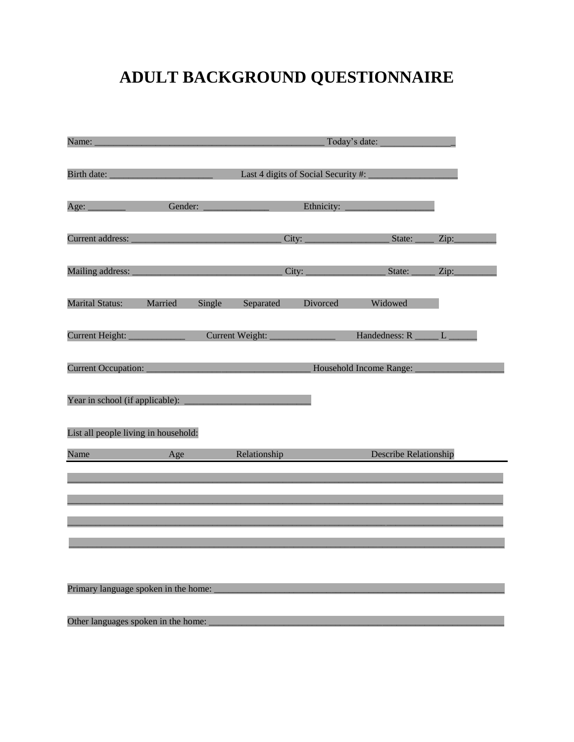# **ADULT BACKGROUND QUESTIONNAIRE**

| Name:                                | Today's date:                       |        |                 |            |                         |      |
|--------------------------------------|-------------------------------------|--------|-----------------|------------|-------------------------|------|
| Birth date:                          | Last 4 digits of Social Security #: |        |                 |            |                         |      |
| Age:                                 | Gender:                             |        |                 | Ethnicity: |                         |      |
| Current address:                     |                                     |        |                 | City:      | State:                  | Zip: |
| Mailing address:                     |                                     |        |                 | City:      | State:                  | Zip: |
| <b>Marital Status:</b>               | Married                             | Single | Separated       | Divorced   | Widowed                 |      |
| <b>Current Height:</b>               |                                     |        | Current Weight: |            | Handedness: R           | L    |
| <b>Current Occupation:</b>           |                                     |        |                 |            | Household Income Range: |      |
| Year in school (if applicable):      |                                     |        |                 |            |                         |      |
| List all people living in household: |                                     |        |                 |            |                         |      |
| Name                                 | Age                                 |        | Relationship    |            | Describe Relationship   |      |
|                                      |                                     |        |                 |            |                         |      |
|                                      |                                     |        |                 |            |                         |      |
|                                      |                                     |        |                 |            |                         |      |
|                                      |                                     |        |                 |            |                         |      |
|                                      |                                     |        |                 |            |                         |      |
| Primary language spoken in the home: |                                     |        |                 |            |                         |      |
| Other languages spoken in the home:  |                                     |        |                 |            |                         |      |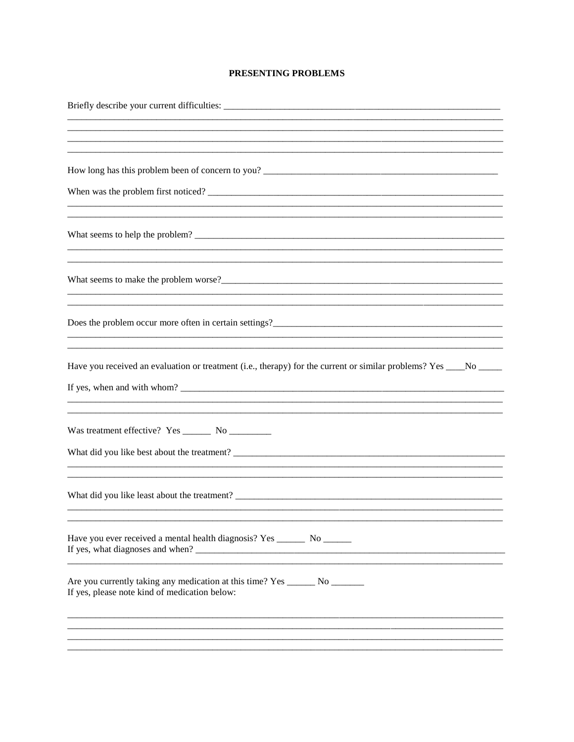## PRESENTING PROBLEMS

| Have you received an evaluation or treatment (i.e., therapy) for the current or similar problems? Yes ____No ____             |
|-------------------------------------------------------------------------------------------------------------------------------|
|                                                                                                                               |
|                                                                                                                               |
| Have you ever received a mental health diagnosis? Yes ________ No _______                                                     |
| Are you currently taking any medication at this time? Yes _______ No _______<br>If yes, please note kind of medication below: |
|                                                                                                                               |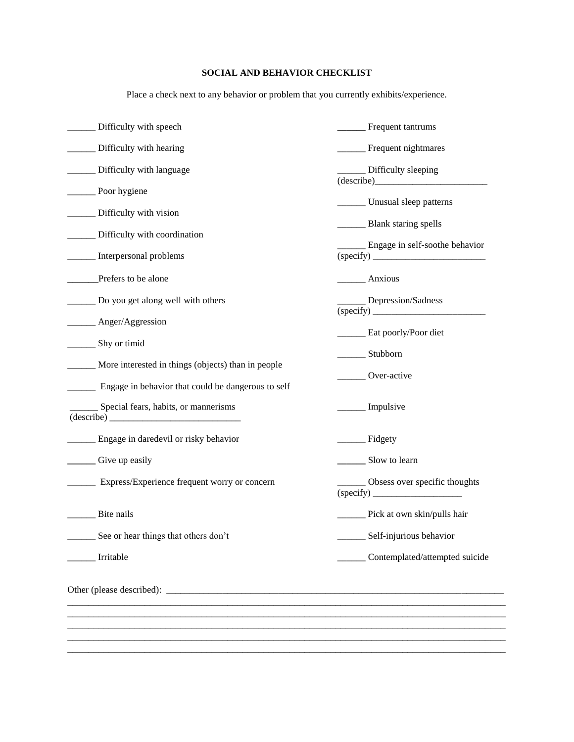## **SOCIAL AND BEHAVIOR CHECKLIST**

Place a check next to any behavior or problem that you currently exhibits/experience.

| Frequent tantrums                                            |
|--------------------------------------------------------------|
| _____ Frequent nightmares                                    |
| ___ Difficulty sleeping                                      |
| $\frac{1}{\text{describe}}$<br>______ Unusual sleep patterns |
| Blank staring spells                                         |
|                                                              |
| _ Engage in self-soothe behavior                             |
| $_$ Anxious                                                  |
| Depression/Sadness                                           |
| _____ Eat poorly/Poor diet                                   |
| ________ Stubborn                                            |
|                                                              |
| ______ Over-active                                           |
| ______ Impulsive                                             |
| Fidgety                                                      |
| Slow to learn                                                |
| _ Obsess over specific thoughts                              |
| ______ Pick at own skin/pulls hair                           |
| Self-injurious behavior                                      |
| Contemplated/attempted suicide                               |
|                                                              |
|                                                              |
|                                                              |
|                                                              |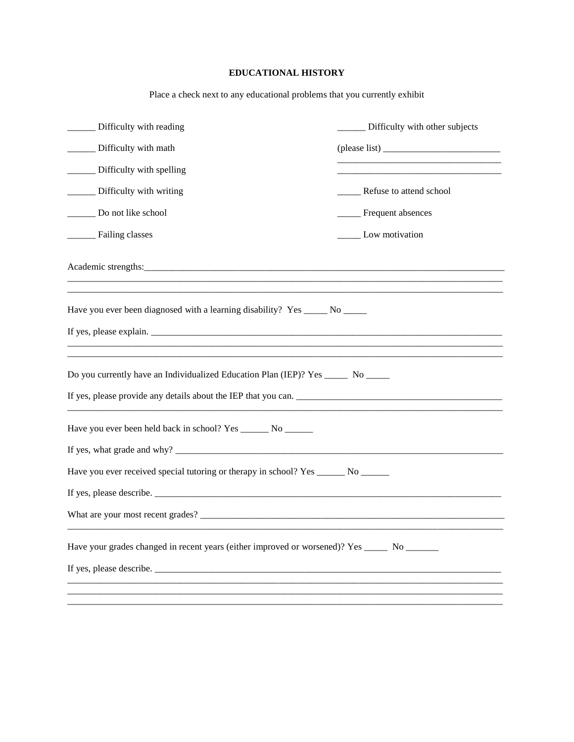## **EDUCATIONAL HISTORY**

Place a check next to any educational problems that you currently exhibit

| Difficulty with reading                                                                         | Difficulty with other subjects |
|-------------------------------------------------------------------------------------------------|--------------------------------|
| Difficulty with math                                                                            | $(\text{please list})$         |
| Difficulty with spelling                                                                        |                                |
| Difficulty with writing                                                                         | ______ Refuse to attend school |
| Do not like school                                                                              | ____ Frequent absences         |
| Failing classes                                                                                 | ______ Low motivation          |
|                                                                                                 |                                |
| Have you ever been diagnosed with a learning disability? Yes ______ No ______                   |                                |
| If yes, please explain.                                                                         |                                |
| Do you currently have an Individualized Education Plan (IEP)? Yes ______ No _____               |                                |
| Have you ever been held back in school? Yes ________ No _______                                 |                                |
|                                                                                                 |                                |
| Have you ever received special tutoring or therapy in school? Yes ______ No ______              |                                |
|                                                                                                 |                                |
|                                                                                                 |                                |
| Have your grades changed in recent years (either improved or worsened)? Yes _______ No ________ |                                |
|                                                                                                 |                                |
|                                                                                                 |                                |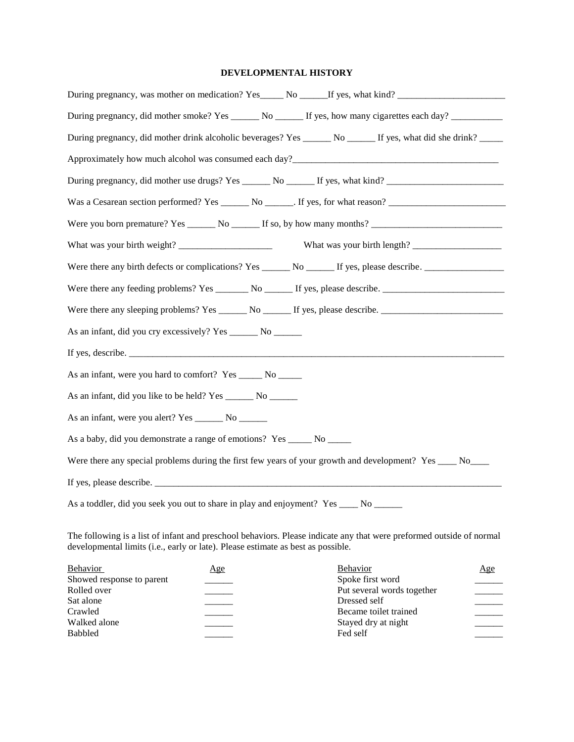### **DEVELOPMENTAL HISTORY**

| During pregnancy, was mother on medication? Yes No Theory By Stephen Washington, Washington, Washington, Washington, Washington, Washington, Washington, Washington, Washington, Washington, Washington, Washington, Washingto |
|--------------------------------------------------------------------------------------------------------------------------------------------------------------------------------------------------------------------------------|
| During pregnancy, did mother smoke? Yes ______ No ______ If yes, how many cigarettes each day? ___________                                                                                                                     |
| During pregnancy, did mother drink alcoholic beverages? Yes ______ No ______ If yes, what did she drink? _____                                                                                                                 |
|                                                                                                                                                                                                                                |
| During pregnancy, did mother use drugs? Yes ______ No ______ If yes, what kind? ____________________                                                                                                                           |
|                                                                                                                                                                                                                                |
|                                                                                                                                                                                                                                |
|                                                                                                                                                                                                                                |
|                                                                                                                                                                                                                                |
|                                                                                                                                                                                                                                |
|                                                                                                                                                                                                                                |
| As an infant, did you cry excessively? Yes _______ No _______                                                                                                                                                                  |
|                                                                                                                                                                                                                                |
| As an infant, were you hard to comfort? Yes ______ No ______                                                                                                                                                                   |
| As an infant, did you like to be held? Yes ________ No _______                                                                                                                                                                 |
| As an infant, were you alert? Yes ________ No _______                                                                                                                                                                          |
| As a baby, did you demonstrate a range of emotions? Yes _____ No _____                                                                                                                                                         |
| Were there any special problems during the first few years of your growth and development? Yes ____ No____                                                                                                                     |
|                                                                                                                                                                                                                                |
| As a toddler, did you seek you out to share in play and enjoyment? Yes __________ No _________                                                                                                                                 |
|                                                                                                                                                                                                                                |

The following is a list of infant and preschool behaviors. Please indicate any that were preformed outside of normal developmental limits (i.e., early or late). Please estimate as best as possible.

| Behavior                  | Age | <b>Behavior</b>            | <u>Age</u> |
|---------------------------|-----|----------------------------|------------|
| Showed response to parent |     | Spoke first word           |            |
| Rolled over               |     | Put several words together |            |
| Sat alone                 |     | Dressed self               |            |
| Crawled                   |     | Became toilet trained      |            |
| Walked alone              |     | Stayed dry at night        |            |
| <b>Babbled</b>            |     | Fed self                   |            |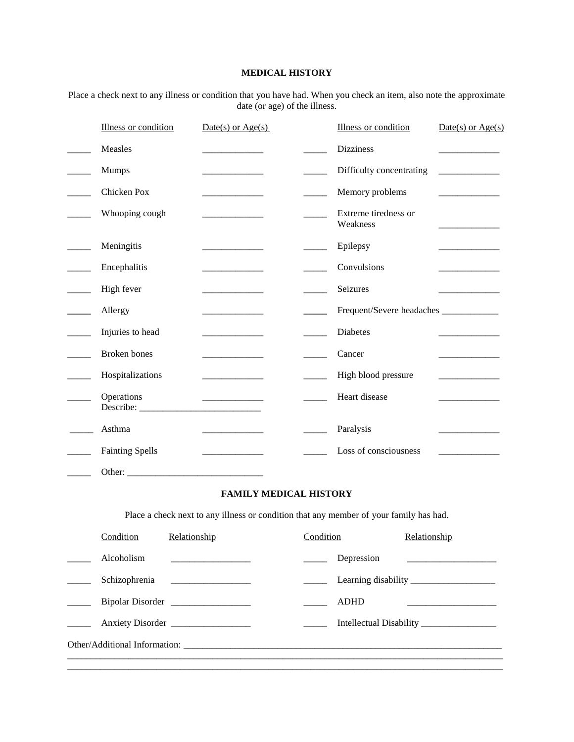## **MEDICAL HISTORY**

Place a check next to any illness or condition that you have had. When you check an item, also note the approximate date (or age) of the illness.

| Illness or condition   | $Date(s)$ or $Age(s)$                                                                                                 | Illness or condition             | $Date(s)$ or $Age(s)$                           |
|------------------------|-----------------------------------------------------------------------------------------------------------------------|----------------------------------|-------------------------------------------------|
| Measles                | <u> 1989 - Johann Barnett, fransk politiker (</u>                                                                     | <b>Dizziness</b>                 | and the control of the control of               |
| <b>Mumps</b>           | and the control of the control of                                                                                     | Difficulty concentrating         |                                                 |
| Chicken Pox            | the control of the control of the                                                                                     | Memory problems                  |                                                 |
| Whooping cough         |                                                                                                                       | Extreme tiredness or<br>Weakness |                                                 |
| Meningitis             |                                                                                                                       | Epilepsy                         | $\overline{a}$ . The contract of $\overline{a}$ |
| Encephalitis           |                                                                                                                       | Convulsions                      | and the control of the con-                     |
| High fever             | <u> 1989 - Johann Barbara, martxa a</u>                                                                               | Seizures                         | the control of the control of the control of    |
| Allergy                |                                                                                                                       |                                  |                                                 |
| Injuries to head       |                                                                                                                       | <b>Diabetes</b>                  |                                                 |
| <b>Broken</b> bones    |                                                                                                                       | Cancer                           | and the control of the control of               |
| Hospitalizations       | and the control of the con-                                                                                           | High blood pressure              |                                                 |
| Operations             | _________________________                                                                                             | Heart disease                    |                                                 |
| Asthma                 | <u> Listen de la construcción de la construcción de la construcción de la construcción de la construcción de la c</u> | Paralysis                        |                                                 |
| <b>Fainting Spells</b> | <u> 1989 - Johann Barbara, martin a</u>                                                                               | Loss of consciousness            |                                                 |
|                        |                                                                                                                       |                                  |                                                 |
|                        | <b>FAMILY MEDICAL HISTORY</b>                                                                                         |                                  |                                                 |

Place a check next to any illness or condition that any member of your family has had.

| Condition  | Relationship                   | Condition |             | Relationship |
|------------|--------------------------------|-----------|-------------|--------------|
| Alcoholism |                                |           | Depression  |              |
|            | Schizophrenia ________________ |           |             |              |
|            | Bipolar Disorder               |           | <b>ADHD</b> |              |
|            | Anxiety Disorder               |           |             |              |
|            |                                |           |             |              |
|            |                                |           |             |              |